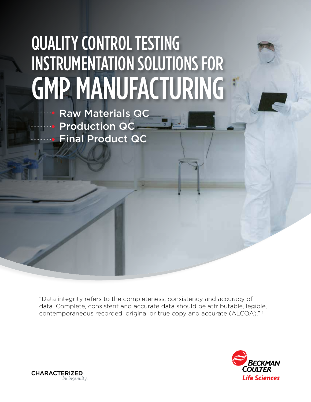# QUALITY CONTROL TESTING INSTRUMENTATION SOLUTIONS FOR GMP MANUFACTURING

Raw Materials QC **Production QC** Final Product QC

"Data integrity refers to the completeness, consistency and accuracy of data. Complete, consistent and accurate data should be attributable, legible, contemporaneous recorded, original or true copy and accurate (ALCOA)." 1



**CHARACTERIZED** by ingenuity.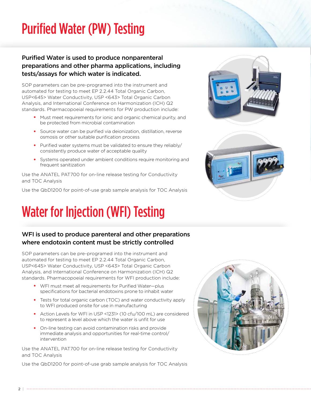### Purified Water (PW) Testing

### Purified Water is used to produce nonparenteral preparations and other pharma applications, including tests/assays for which water is indicated.

SOP parameters can be pre-programed into the instrument and automated for testing to meet EP 2.2.44 Total Organic Carbon, USP<645> Water Conductivity, USP <643> Total Organic Carbon Analysis, and International Conference on Harmonization (ICH) Q2 standards. Pharmacopoeial requirements for PW production include:

- Must meet requirements for ionic and organic chemical purity, and be protected from microbial contamination
- Source water can be purified via deionization, distillation, reverse osmosis or other suitable purification process
- Purified water systems must be validated to ensure they reliably/ consistently produce water of acceptable quality
- Systems operated under ambient conditions require monitoring and frequent sanitization

Use the ANATEL PAT700 for on-line release testing for Conductivity and TOC Analysis

Use the QbD1200 for point-of-use grab sample analysis for TOC Analysis

### Water for Injection (WFI) Testing

### WFI is used to produce parenteral and other preparations where endotoxin content must be strictly controlled

SOP parameters can be pre-programed into the instrument and automated for testing to meet EP 2.2.44 Total Organic Carbon, USP<645> Water Conductivity, USP <643> Total Organic Carbon Analysis, and International Conference on Harmonization (ICH) Q2 standards. Pharmacopoeial requirements for WFI production include:

- WFI must meet all requirements for Purified Water—plus specifications for bacterial endotoxins prone to inhabit water
- Tests for total organic carbon (TOC) and water conductivity apply to WFI produced onsite for use in manufacturing
- Action Levels for WFI in USP <1231> (10 cfu/100 mL) are considered to represent a level above which the water is unfit for use
- On-line testing can avoid contamination risks and provide immediate analysis and opportunities for real-time control/ intervention

Use the ANATEL PAT700 for on-line release testing for Conductivity and TOC Analysis

Use the QbD1200 for point-of-use grab sample analysis for TOC Analysis







 $2<sup>1</sup>$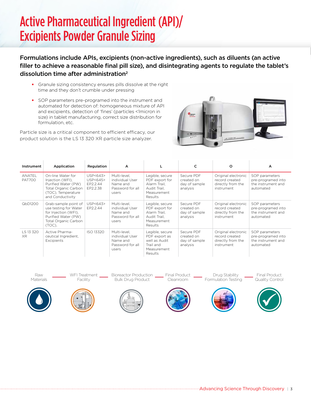### Active Pharmaceutical Ingredient (API)/ Excipients Powder Granule Sizing

Formulations include APIs, excipients (non-active ingredients), such as diluents (an active filler to achieve a reasonable final pill size), and disintegrating agents to regulate the tablet's dissolution time after administration<sup>2</sup>

- Granule sizing consistency ensures pills dissolve at the right time and they don't crumble under pressing
- SOP parameters pre-programed into the instrument and automated for detection of: homogeneous mixture of API and excipients, detection of 'fines' (particles <1micron in size) in tablet manufacturing, correct size distribution for formulation, etc.

Particle size is a critical component to efficient efficacy, our product solution is the LS 13 320 XR particle size analyzer.



| Instrument              | Application                                                                                                                    | Regulation                                    | A                                                                        |                                                                                             | c                                                     | o                                                                        | A                                                                       |
|-------------------------|--------------------------------------------------------------------------------------------------------------------------------|-----------------------------------------------|--------------------------------------------------------------------------|---------------------------------------------------------------------------------------------|-------------------------------------------------------|--------------------------------------------------------------------------|-------------------------------------------------------------------------|
| ANATEL<br><b>PAT700</b> | On-line Water for<br>Injection (WFI),<br>Purified Water (PW)<br>Total Organic Carbon<br>(TOC), Temperature<br>and Conductivity | USP < 643<br>USP<645><br>EP2.2.44<br>EP2.2.38 | Multi-level.<br>individual User<br>Name and<br>Password for all<br>users | Legible, secure<br>PDF export for<br>Alarm Trail.<br>Audit Trail.<br>Measurement<br>Results | Secure PDF<br>created on<br>day of sample<br>analysis | Original electronic<br>record created<br>directly from the<br>instrument | SOP parameters<br>pre-programed into<br>the instrument and<br>automated |
| QbD1200                 | Grab-sample point of<br>use testing for Water<br>for Injection (WFI),<br>Purified Water (PW)<br>Total Organic Carbon<br>(TOC), | USP<643><br>EP2.2.44                          | Multi-level.<br>individual User<br>Name and<br>Password for all<br>users | Legible, secure<br>PDF export for<br>Alarm Trail.<br>Audit Trail,<br>Measurement<br>Results | Secure PDF<br>created on<br>day of sample<br>analysis | Original electronic<br>record created<br>directly from the<br>instrument | SOP parameters<br>pre-programed into<br>the instrument and<br>automated |
| LS 13 320<br>XR.        | Active Pharma-<br>ceutical Ingredient.<br>Excipients                                                                           | ISO 13320                                     | Multi-level.<br>individual User<br>Name and<br>Password for all<br>users | Legible, secure<br>PDF export as<br>well as Audit<br>Trail and<br>Measurement<br>Results    | Secure PDF<br>created on<br>day of sample<br>analysis | Original electronic<br>record created<br>directly from the<br>instrument | SOP parameters<br>pre-programed into<br>the instrument and<br>automated |



WFI Treatment Facility



Final Product Cleanroom

 Drug Stability Formulation Testing

Final Product Quality Control













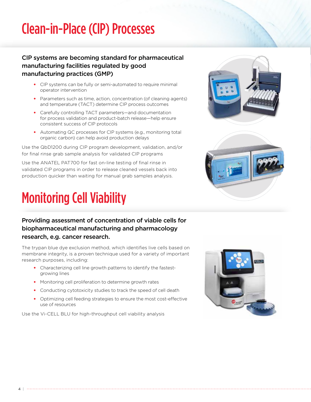### Clean-in-Place (CIP) Processes

#### CIP systems are becoming standard for pharmaceutical manufacturing facilities regulated by good manufacturing practices (GMP)

- CIP systems can be fully or semi-automated to require minimal operator intervention
- Parameters such as time, action, concentration (of cleaning agents) and temperature (TACT) determine CIP process outcomes
- Carefully controlling TACT parameters—and documentation for process validation and product-batch release—help ensure consistent success of CIP protocols
- Automating QC processes for CIP systems (e.g., monitoring total organic carbon) can help avoid production delays

Use the QbD1200 during CIP program development, validation, and/or for final rinse grab sample analysis for validated CIP programs

Use the ANATEL PAT700 for fast on-line testing of final rinse in validated CIP programs in order to release cleaned vessels back into production quicker than waiting for manual grab samples analysis.

# Monitoring Cell Viability

#### Providing assessment of concentration of viable cells for biopharmaceutical manufacturing and pharmacology research, e.g. cancer research.

The trypan blue dye exclusion method, which identifies live cells based on membrane integrity, is a proven technique used for a variety of important research purposes, including:

- Characterizing cell line growth patterns to identify the fastestgrowing lines
- Monitoring cell proliferation to determine growth rates
- Conducting cytotoxicity studies to track the speed of cell death
- Optimizing cell feeding strategies to ensure the most cost-effective use of resources

Use the Vi-CELL BLU for high-throughput cell viability analysis







4 |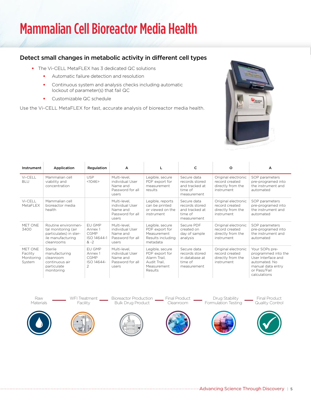### Mammalian Cell Bioreactor Media Health

#### Detect small changes in metabolic activity in different cell types

- The Vi-CELL MetaFLEX has 3 dedicated QC solutions
	- Automatic failure detection and resolution
	- Continuous system and analysis checks including automatic lockout of parameter(s) that fail QC
	- Customizable QC schedule

Use the Vi-CELL MetaFLEX for fast, accurate analysis of bioreactor media health.



| Instrument                                  | Application                                                                                             | Regulation                                                       | A                                                                        | L                                                                                           | c                                                                         | $\circ$                                                                  | A                                                                                                                                 |
|---------------------------------------------|---------------------------------------------------------------------------------------------------------|------------------------------------------------------------------|--------------------------------------------------------------------------|---------------------------------------------------------------------------------------------|---------------------------------------------------------------------------|--------------------------------------------------------------------------|-----------------------------------------------------------------------------------------------------------------------------------|
| Vi-CELL<br><b>BLU</b>                       | Mammalian cell<br>viability and<br>concentration                                                        | <b>USP</b><br><1046>                                             | Multi-level,<br>individual User<br>Name and<br>Password for all<br>users | Legible, secure<br>PDF export for<br>measurement<br>results                                 | Secure data<br>records stored<br>and tracked at<br>time of<br>measurement | Original electronic<br>record created<br>directly from the<br>instrument | SOP parameters<br>pre-programed into<br>the instrument and<br>automated                                                           |
| Vi-CELL<br>MetaFLEX                         | Mammalian cell<br>bioreactor media<br>health                                                            |                                                                  | Multi-level,<br>individual User<br>Name and<br>Password for all<br>users | Legible, reports<br>can be printed<br>or viewed on the<br>instrument                        | Secure data<br>records stored<br>and tracked at<br>time of<br>measurement | Original electronic<br>record created<br>directly from the<br>instrument | SOP parameters<br>pre-programed into<br>the instrument and<br>automated                                                           |
| MET ONE<br>3400                             | Routine environmen-<br>tal monitoring (air<br>particulates) in ster-<br>ile manufacturing<br>cleanrooms | EU GMP<br>Annex 1<br><b>CGMP</b><br>ISO 14644-1<br>$& -2$        | Multi-level,<br>individual User<br>Name and<br>Password for all<br>users | Legible, secure<br>PDF export for<br>Measurement<br>Results including<br>metadata           | Secure PDF<br>created on<br>day of sample<br>analysis                     | Original electronic<br>record created<br>directly from the<br>instrument | SOP parameters<br>pre-programed into<br>the instrument and<br>automated                                                           |
| MET ONE<br>Facility<br>Monitoring<br>System | Sterile<br>manufacturing<br>cleanroom<br>continuous air<br>particulate<br>monitoring                    | EU GMP<br>Annex 1<br><b>CGMP</b><br>ISO 14644-<br>$\mathfrak{D}$ | Multi-level.<br>individual User<br>Name and<br>Password for all<br>users | Legible, secure<br>PDF export for<br>Alarm Trail.<br>Audit Trail.<br>Measurement<br>Results | Secure data<br>records stored<br>in database at<br>time of<br>measurement | Original electronic<br>record created<br>directly from the<br>instrument | Your SOPs pre-<br>programmed into the<br>User Interface and<br>automated. No<br>manual data entry<br>or Pass/Fail<br>calculations |

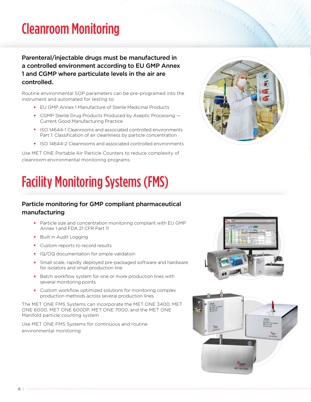### Cleanroom Monitoring

Parenteral/injectable drugs must be manufactured in a controlled environment according to EU GMP Annex 1 and CGMP where particulate levels in the air are controlled.

Routine environmental SOP parameters can be pre-programed into the instrument and automated for testing to:

- EU GMP Annex 1 Manufacture of Sterile Medicinal Products
- CGMP Sterile Drug Products Produced by Aseptic Processing Current Good Manufacturing Practice
- ISO 14644-1 Cleanrooms and associated controlled environments Part 1: Classification of air cleanliness by particle concentration
- ISO 14644-2 Cleanrooms and associated controlled environments

Use MET ONE Portable Air Particle Counters to reduce complexity of cleanroom environmental monitoring programs.



# Facility Monitoring Systems (FMS)

#### Particle monitoring for GMP compliant pharmaceutical manufacturing

- Particle size and concentration monitoring compliant with EU GMP Annex 1 and FDA 21 CFR Part 11
- Built in Audit Logging
- Custom reports to record results
- IQ/OQ documentation for simple validation
- Small scale, rapidly deployed pre-packaged software and hardware for isolators and small production line
- Batch workflow system for one or more production lines with several monitoring points
- Custom workflow optimized solutions for monitoring complex production methods across several production lines

The MET ONE FMS Systems can incorporate the MET ONE 3400, MET ONE 6000, MET ONE 6000P, MET ONE 7000, and the MET ONE Manifold particle counting system

Use MET ONE FMS Systems for continuous and routine environmental monitoring



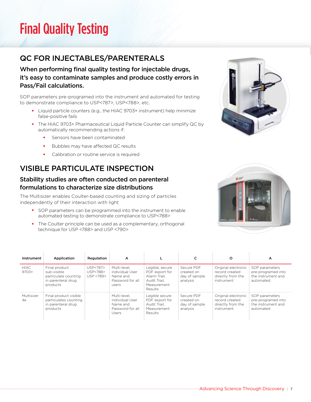### Final Quality Testing

### QC FOR INJECTABLES/PARENTERALS

When performing final quality testing for injectable drugs, it's easy to contaminate samples and produce costly errors in Pass/Fail calculations.

SOP parameters pre-programed into the instrument and automated for testing to demonstrate compliance to USP<787>, USP<788>, etc.

- Liquid particle counters (e.g., the HIAC 9703+ instrument) help minimize false-positive fails
- The HIAC 9703+ Pharmaceutical Liquid Particle Counter can simplify QC by automatically recommending actions if:
	- Sensors have been contaminated
	- Bubbles may have affected QC results
	- Calibration or routine service is required

### VISIBLE PARTICULATE INSPECTION

#### Stability studies are often conducted on parenteral formulations to characterize size distributions

The Multisizer enables Coulter-based counting and sizing of particles independently of their interaction with light

- SOP parameters can be programmed into the instrument to enable automated testing to demonstrate compliance to USP<788>
- The Coulter principle can be used as a complementary, orthogonal technique for USP <788> and USP <790>

| Instrument       | Application                                                                            | Regulation                        | A                                                                        |                                                                                             |                                                       | $\circ$                                                                  | A                                                                       |
|------------------|----------------------------------------------------------------------------------------|-----------------------------------|--------------------------------------------------------------------------|---------------------------------------------------------------------------------------------|-------------------------------------------------------|--------------------------------------------------------------------------|-------------------------------------------------------------------------|
| HIAC.<br>$9703+$ | Final product<br>sub-visible<br>particulate counting<br>in parenteral drug<br>products | USP<787><br>USP<788><br>USP <789> | Multi-level.<br>individual User<br>Name and<br>Password for all<br>users | Legible, secure<br>PDF export for<br>Alarm Trail.<br>Audit Trail.<br>Measurement<br>Results | Secure PDF<br>created on<br>day of sample<br>analysis | Original electronic<br>record created<br>directly from the<br>instrument | SOP parameters<br>pre-programed into<br>the instrument and<br>automated |
| Multisizer<br>4e | Final product visible<br>particulates counting<br>in parenteral drug<br>products       |                                   | Multi-level.<br>individual User<br>Name and<br>Password for all<br>Users | Legible secure<br>PDF export for<br>Audit Trail.<br>Measurement<br>Results                  | Secure PDF<br>created on<br>day of sample<br>analysis | Original electronic<br>record created<br>directly from the<br>instrument | SOP parameters<br>pre-programed into<br>the instrument and<br>automated |